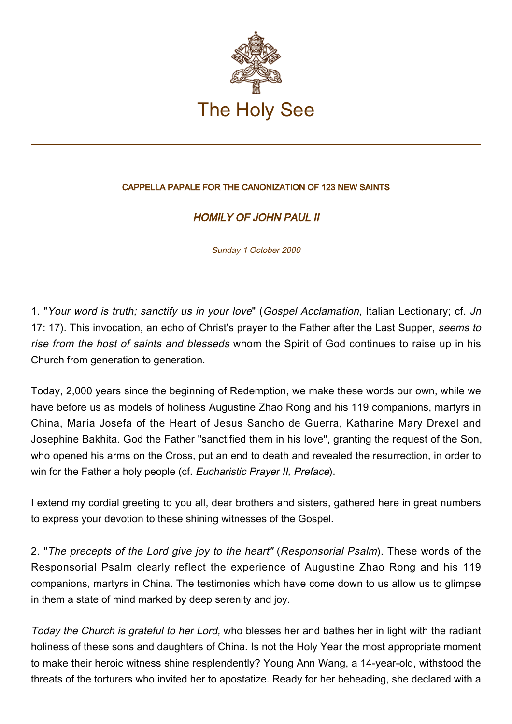

## CAPPELLA PAPALE FOR THE CANONIZATION OF 123 NEW SAINTS

## HOMILY OF JOHN PAUL II

Sunday 1 October 2000

1. "Your word is truth; sanctify us in your love" (Gospel Acclamation, Italian Lectionary; cf. Jn 17: 17). This invocation, an echo of Christ's prayer to the Father after the Last Supper, seems to rise from the host of saints and blesseds whom the Spirit of God continues to raise up in his Church from generation to generation.

Today, 2,000 years since the beginning of Redemption, we make these words our own, while we have before us as models of holiness Augustine Zhao Rong and his 119 companions, martyrs in China, María Josefa of the Heart of Jesus Sancho de Guerra, Katharine Mary Drexel and Josephine Bakhita. God the Father "sanctified them in his love", granting the request of the Son, who opened his arms on the Cross, put an end to death and revealed the resurrection, in order to win for the Father a holy people (cf. Eucharistic Prayer II, Preface).

I extend my cordial greeting to you all, dear brothers and sisters, gathered here in great numbers to express your devotion to these shining witnesses of the Gospel.

2. "The precepts of the Lord give joy to the heart" (Responsorial Psalm). These words of the Responsorial Psalm clearly reflect the experience of Augustine Zhao Rong and his 119 companions, martyrs in China. The testimonies which have come down to us allow us to glimpse in them a state of mind marked by deep serenity and joy.

Today the Church is grateful to her Lord, who blesses her and bathes her in light with the radiant holiness of these sons and daughters of China. Is not the Holy Year the most appropriate moment to make their heroic witness shine resplendently? Young Ann Wang, a 14-year-old, withstood the threats of the torturers who invited her to apostatize. Ready for her beheading, she declared with a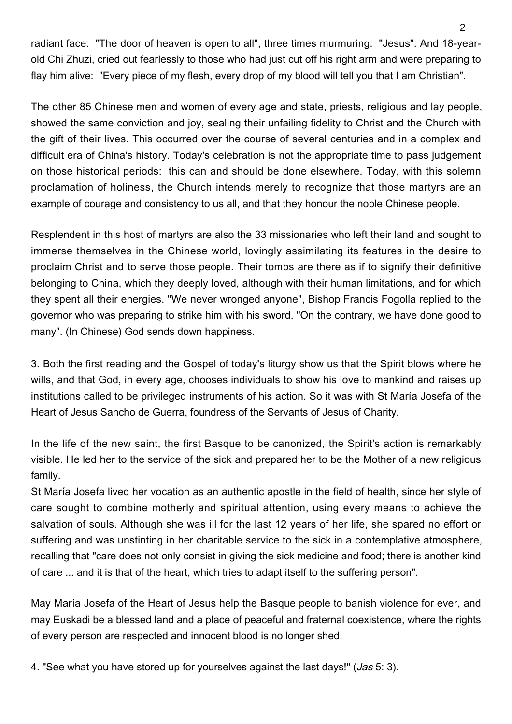radiant face: "The door of heaven is open to all", three times murmuring: "Jesus". And 18-yearold Chi Zhuzi, cried out fearlessly to those who had just cut off his right arm and were preparing to flay him alive: "Every piece of my flesh, every drop of my blood will tell you that I am Christian".

The other 85 Chinese men and women of every age and state, priests, religious and lay people, showed the same conviction and joy, sealing their unfailing fidelity to Christ and the Church with the gift of their lives. This occurred over the course of several centuries and in a complex and difficult era of China's history. Today's celebration is not the appropriate time to pass judgement on those historical periods: this can and should be done elsewhere. Today, with this solemn proclamation of holiness, the Church intends merely to recognize that those martyrs are an example of courage and consistency to us all, and that they honour the noble Chinese people.

Resplendent in this host of martyrs are also the 33 missionaries who left their land and sought to immerse themselves in the Chinese world, lovingly assimilating its features in the desire to proclaim Christ and to serve those people. Their tombs are there as if to signify their definitive belonging to China, which they deeply loved, although with their human limitations, and for which they spent all their energies. "We never wronged anyone", Bishop Francis Fogolla replied to the governor who was preparing to strike him with his sword. "On the contrary, we have done good to many". (In Chinese) God sends down happiness.

3. Both the first reading and the Gospel of today's liturgy show us that the Spirit blows where he wills, and that God, in every age, chooses individuals to show his love to mankind and raises up institutions called to be privileged instruments of his action. So it was with St María Josefa of the Heart of Jesus Sancho de Guerra, foundress of the Servants of Jesus of Charity.

In the life of the new saint, the first Basque to be canonized, the Spirit's action is remarkably visible. He led her to the service of the sick and prepared her to be the Mother of a new religious family.

St María Josefa lived her vocation as an authentic apostle in the field of health, since her style of care sought to combine motherly and spiritual attention, using every means to achieve the salvation of souls. Although she was ill for the last 12 years of her life, she spared no effort or suffering and was unstinting in her charitable service to the sick in a contemplative atmosphere, recalling that "care does not only consist in giving the sick medicine and food; there is another kind of care ... and it is that of the heart, which tries to adapt itself to the suffering person".

May María Josefa of the Heart of Jesus help the Basque people to banish violence for ever, and may Euskadi be a blessed land and a place of peaceful and fraternal coexistence, where the rights of every person are respected and innocent blood is no longer shed.

4. "See what you have stored up for yourselves against the last days!" (Jas 5: 3).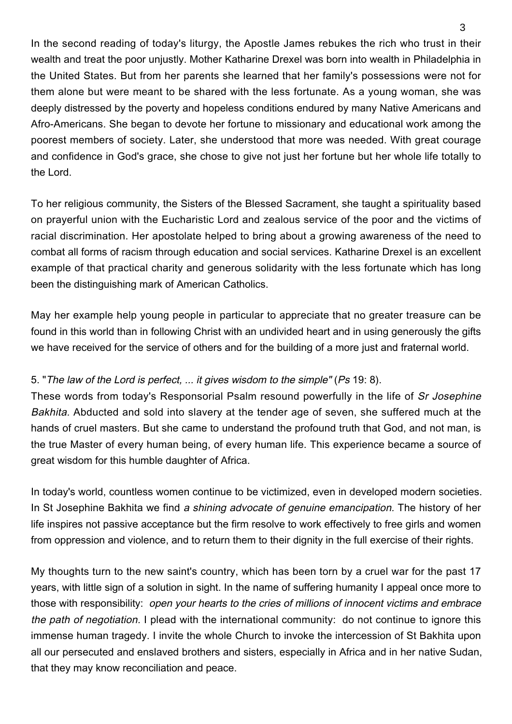In the second reading of today's liturgy, the Apostle James rebukes the rich who trust in their wealth and treat the poor unjustly. Mother Katharine Drexel was born into wealth in Philadelphia in the United States. But from her parents she learned that her family's possessions were not for them alone but were meant to be shared with the less fortunate. As a young woman, she was deeply distressed by the poverty and hopeless conditions endured by many Native Americans and Afro-Americans. She began to devote her fortune to missionary and educational work among the poorest members of society. Later, she understood that more was needed. With great courage and confidence in God's grace, she chose to give not just her fortune but her whole life totally to the Lord.

To her religious community, the Sisters of the Blessed Sacrament, she taught a spirituality based on prayerful union with the Eucharistic Lord and zealous service of the poor and the victims of racial discrimination. Her apostolate helped to bring about a growing awareness of the need to combat all forms of racism through education and social services. Katharine Drexel is an excellent example of that practical charity and generous solidarity with the less fortunate which has long been the distinguishing mark of American Catholics.

May her example help young people in particular to appreciate that no greater treasure can be found in this world than in following Christ with an undivided heart and in using generously the gifts we have received for the service of others and for the building of a more just and fraternal world.

## 5. "The law of the Lord is perfect, ... it gives wisdom to the simple" (Ps 19: 8).

These words from today's Responsorial Psalm resound powerfully in the life of Sr Josephine Bakhita. Abducted and sold into slavery at the tender age of seven, she suffered much at the hands of cruel masters. But she came to understand the profound truth that God, and not man, is the true Master of every human being, of every human life. This experience became a source of great wisdom for this humble daughter of Africa.

In today's world, countless women continue to be victimized, even in developed modern societies. In St Josephine Bakhita we find a shining advocate of genuine emancipation. The history of her life inspires not passive acceptance but the firm resolve to work effectively to free girls and women from oppression and violence, and to return them to their dignity in the full exercise of their rights.

My thoughts turn to the new saint's country, which has been torn by a cruel war for the past 17 years, with little sign of a solution in sight. In the name of suffering humanity I appeal once more to those with responsibility: open your hearts to the cries of millions of innocent victims and embrace the path of negotiation. I plead with the international community: do not continue to ignore this immense human tragedy. I invite the whole Church to invoke the intercession of St Bakhita upon all our persecuted and enslaved brothers and sisters, especially in Africa and in her native Sudan, that they may know reconciliation and peace.